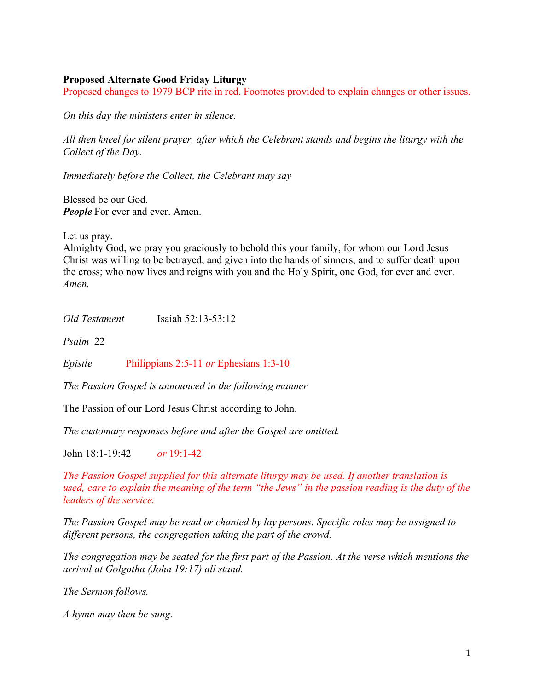### **Proposed Alternate Good Friday Liturgy**

Proposed changes to 1979 BCP rite in red. Footnotes provided to explain changes or other issues.

*On this day the ministers enter in silence.*

*All then kneel for silent prayer, after which the Celebrant stands and begins the liturgy with the Collect of the Day.*

*Immediately before the Collect, the Celebrant may say*

Blessed be our God. *People* For ever and ever. Amen.

Let us pray.

Almighty God, we pray you graciously to behold this your family, for whom our Lord Jesus Christ was willing to be betrayed, and given into the hands of sinners, and to suffer death upon the cross; who now lives and reigns with you and the Holy Spirit, one God, for ever and ever. *Amen.*

*Old Testament* Isaiah 52:13-53:12

*Psalm* 22

*Epistle* Philippians 2:5-11 *or Ephesians* 1:3-10

*The Passion Gospel is announced in the following manner*

The Passion of our Lord Jesus Christ according to John.

*The customary responses before and after the Gospel are omitted.*

John 18:1-19:42 *or* 19:1-42

*The Passion Gospel supplied for this alternate liturgy may be used. If another translation is used, care to explain the meaning of the term "the Jews" in the passion reading is the duty of the leaders of the service.*

*The Passion Gospel may be read or chanted by lay persons. Specific roles may be assigned to different persons, the congregation taking the part of the crowd.*

*The congregation may be seated for the first part of the Passion. At the verse which mentions the arrival at Golgotha (John 19:17) all stand.*

*The Sermon follows.*

*A hymn may then be sung.*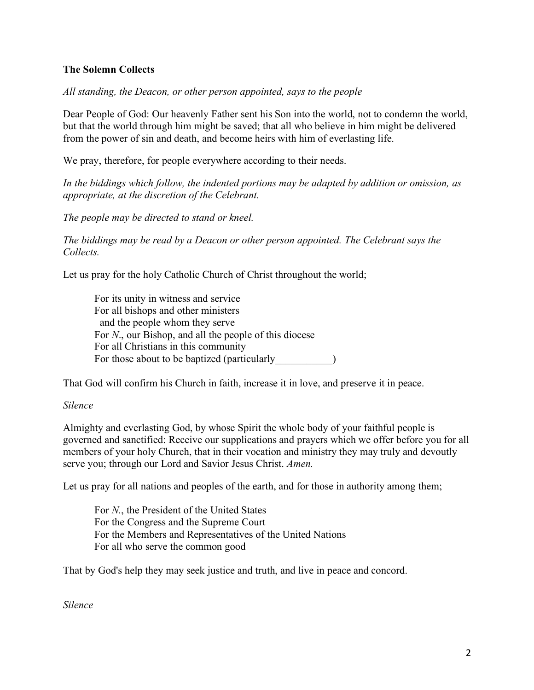# **The Solemn Collects**

*All standing, the Deacon, or other person appointed, says to the people*

Dear People of God: Our heavenly Father sent his Son into the world, not to condemn the world, but that the world through him might be saved; that all who believe in him might be delivered from the power of sin and death, and become heirs with him of everlasting life.

We pray, therefore, for people everywhere according to their needs.

*In the biddings which follow, the indented portions may be adapted by addition or omission, as appropriate, at the discretion of the Celebrant.*

*The people may be directed to stand or kneel.*

*The biddings may be read by a Deacon or other person appointed. The Celebrant says the Collects.*

Let us pray for the holy Catholic Church of Christ throughout the world;

For its unity in witness and service For all bishops and other ministers and the people whom they serve For *N*., our Bishop, and all the people of this diocese For all Christians in this community For those about to be baptized (particularly )

That God will confirm his Church in faith, increase it in love, and preserve it in peace.

#### *Silence*

Almighty and everlasting God, by whose Spirit the whole body of your faithful people is governed and sanctified: Receive our supplications and prayers which we offer before you for all members of your holy Church, that in their vocation and ministry they may truly and devoutly serve you; through our Lord and Savior Jesus Christ. *Amen.*

Let us pray for all nations and peoples of the earth, and for those in authority among them;

For *N.*, the President of the United States For the Congress and the Supreme Court For the Members and Representatives of the United Nations For all who serve the common good

That by God's help they may seek justice and truth, and live in peace and concord.

*Silence*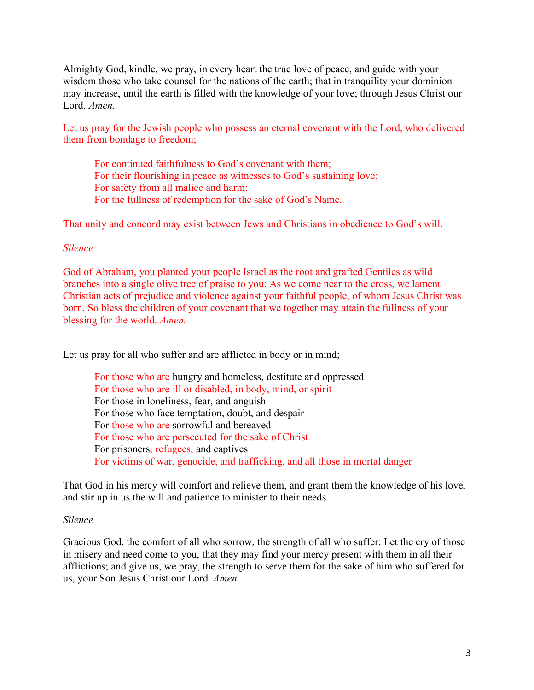Almighty God, kindle, we pray, in every heart the true love of peace, and guide with your wisdom those who take counsel for the nations of the earth; that in tranquility your dominion may increase, until the earth is filled with the knowledge of your love; through Jesus Christ our Lord. *Amen.*

Let us pray for the Jewish people who possess an eternal covenant with the Lord, who delivered them from bondage to freedom;

For continued faithfulness to God's covenant with them; For their flourishing in peace as witnesses to God's sustaining love; For safety from all malice and harm; For the fullness of redemption for the sake of God's Name.

That unity and concord may exist between Jews and Christians in obedience to God's will.

## *Silence*

God of Abraham, you planted your people Israel as the root and grafted Gentiles as wild branches into a single olive tree of praise to you: As we come near to the cross, we lament Christian acts of prejudice and violence against your faithful people, of whom Jesus Christ was born. So bless the children of your covenant that we together may attain the fullness of your blessing for the world. *Amen.*

Let us pray for all who suffer and are afflicted in body or in mind;

For those who are hungry and homeless, destitute and oppressed For those who are ill or disabled, in body, mind, or spirit For those in loneliness, fear, and anguish For those who face temptation, doubt, and despair For those who are sorrowful and bereaved For those who are persecuted for the sake of Christ For prisoners, refugees, and captives For victims of war, genocide, and trafficking, and all those in mortal danger

That God in his mercy will comfort and relieve them, and grant them the knowledge of his love, and stir up in us the will and patience to minister to their needs.

# *Silence*

Gracious God, the comfort of all who sorrow, the strength of all who suffer: Let the cry of those in misery and need come to you, that they may find your mercy present with them in all their afflictions; and give us, we pray, the strength to serve them for the sake of him who suffered for us, your Son Jesus Christ our Lord. *Amen.*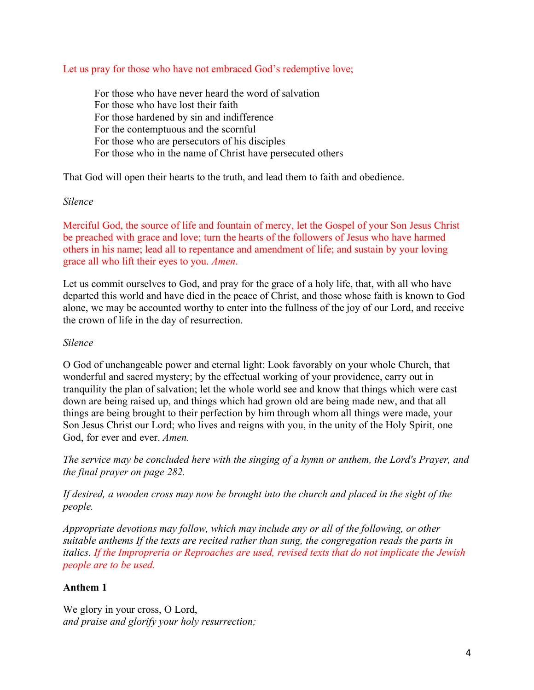Let us pray for those who have not embraced God's redemptive love;

For those who have never heard the word of salvation For those who have lost their faith For those hardened by sin and indifference For the contemptuous and the scornful For those who are persecutors of his disciples For those who in the name of Christ have persecuted others

That God will open their hearts to the truth, and lead them to faith and obedience.

## *Silence*

Merciful God, the source of life and fountain of mercy, let the Gospel of your Son Jesus Christ be preached with grace and love; turn the hearts of the followers of Jesus who have harmed others in his name; lead all to repentance and amendment of life; and sustain by your loving grace all who lift their eyes to you. *Amen*.

Let us commit ourselves to God, and pray for the grace of a holy life, that, with all who have departed this world and have died in the peace of Christ, and those whose faith is known to God alone, we may be accounted worthy to enter into the fullness of the joy of our Lord, and receive the crown of life in the day of resurrection.

## *Silence*

O God of unchangeable power and eternal light: Look favorably on your whole Church, that wonderful and sacred mystery; by the effectual working of your providence, carry out in tranquility the plan of salvation; let the whole world see and know that things which were cast down are being raised up, and things which had grown old are being made new, and that all things are being brought to their perfection by him through whom all things were made, your Son Jesus Christ our Lord; who lives and reigns with you, in the unity of the Holy Spirit, one God, for ever and ever. *Amen.*

*The service may be concluded here with the singing of a hymn or anthem, the Lord's Prayer, and the final prayer on page 282.*

*If desired, a wooden cross may now be brought into the church and placed in the sight of the people.*

*Appropriate devotions may follow, which may include any or all of the following, or other suitable anthems If the texts are recited rather than sung, the congregation reads the parts in italics. If the Impropreria or Reproaches are used, revised texts that do not implicate the Jewish people are to be used.*

# **Anthem 1**

We glory in your cross, O Lord, *and praise and glorify your holy resurrection;*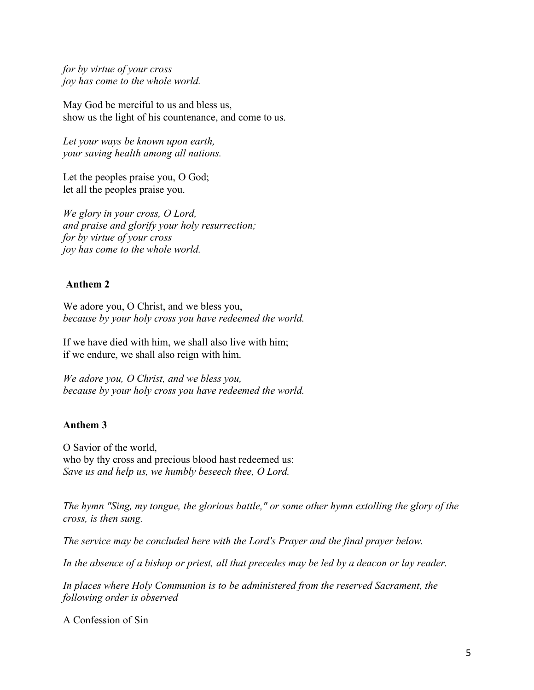*for by virtue of your cross joy has come to the whole world.*

May God be merciful to us and bless us, show us the light of his countenance, and come to us.

*Let your ways be known upon earth, your saving health among all nations.*

Let the peoples praise you, O God; let all the peoples praise you.

*We glory in your cross, O Lord, and praise and glorify your holy resurrection; for by virtue of your cross joy has come to the whole world.*

# **Anthem 2**

We adore you, O Christ, and we bless you, *because by your holy cross you have redeemed the world.*

If we have died with him, we shall also live with him; if we endure, we shall also reign with him.

*We adore you, O Christ, and we bless you, because by your holy cross you have redeemed the world.*

#### **Anthem 3**

O Savior of the world, who by thy cross and precious blood hast redeemed us: *Save us and help us, we humbly beseech thee, O Lord.*

*The hymn "Sing, my tongue, the glorious battle," or some other hymn extolling the glory of the cross, is then sung.*

*The service may be concluded here with the Lord's Prayer and the final prayer below.*

*In the absence of a bishop or priest, all that precedes may be led by a deacon or lay reader.*

*In places where Holy Communion is to be administered from the reserved Sacrament, the following order is observed*

A Confession of Sin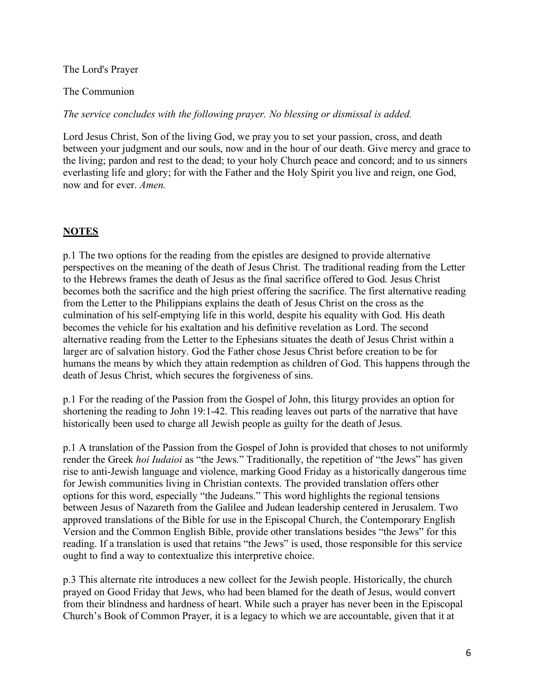## The Lord's Prayer

The Communion

*The service concludes with the following prayer. No blessing or dismissal is added.*

Lord Jesus Christ, Son of the living God, we pray you to set your passion, cross, and death between your judgment and our souls, now and in the hour of our death. Give mercy and grace to the living; pardon and rest to the dead; to your holy Church peace and concord; and to us sinners everlasting life and glory; for with the Father and the Holy Spirit you live and reign, one God, now and for ever. *Amen.*

# **NOTES**

p.1 The two options for the reading from the epistles are designed to provide alternative perspectives on the meaning of the death of Jesus Christ. The traditional reading from the Letter to the Hebrews frames the death of Jesus as the final sacrifice offered to God. Jesus Christ becomes both the sacrifice and the high priest offering the sacrifice. The first alternative reading from the Letter to the Philippians explains the death of Jesus Christ on the cross as the culmination of his self-emptying life in this world, despite his equality with God. His death becomes the vehicle for his exaltation and his definitive revelation as Lord. The second alternative reading from the Letter to the Ephesians situates the death of Jesus Christ within a larger arc of salvation history. God the Father chose Jesus Christ before creation to be for humans the means by which they attain redemption as children of God. This happens through the death of Jesus Christ, which secures the forgiveness of sins.

p.1 For the reading of the Passion from the Gospel of John, this liturgy provides an option for shortening the reading to John 19:1-42. This reading leaves out parts of the narrative that have historically been used to charge all Jewish people as guilty for the death of Jesus.

p.1 A translation of the Passion from the Gospel of John is provided that choses to not uniformly render the Greek *hoi Iudaioi* as "the Jews." Traditionally, the repetition of "the Jews" has given rise to anti-Jewish language and violence, marking Good Friday as a historically dangerous time for Jewish communities living in Christian contexts. The provided translation offers other options for this word, especially "the Judeans." This word highlights the regional tensions between Jesus of Nazareth from the Galilee and Judean leadership centered in Jerusalem. Two approved translations of the Bible for use in the Episcopal Church, the Contemporary English Version and the Common English Bible, provide other translations besides "the Jews" for this reading. If a translation is used that retains "the Jews" is used, those responsible for this service ought to find a way to contextualize this interpretive choice.

p.3 This alternate rite introduces a new collect for the Jewish people. Historically, the church prayed on Good Friday that Jews, who had been blamed for the death of Jesus, would convert from their blindness and hardness of heart. While such a prayer has never been in the Episcopal Church's Book of Common Prayer, it is a legacy to which we are accountable, given that it at